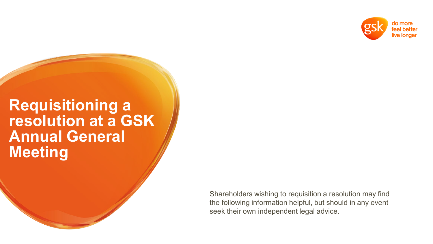

#### **Requisitioning a resolution at a GSK Annual General Meeting**

Shareholders wishing to requisition a resolution may find the following information helpful, but should in any event seek their own independent legal advice.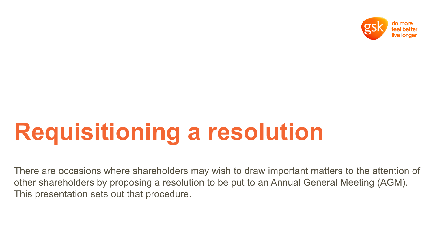

There are occasions where shareholders may wish to draw important matters to the attention of other shareholders by proposing a resolution to be put to an Annual General Meeting (AGM). This presentation sets out that procedure.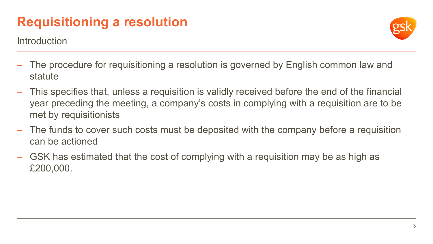**Introduction** 

- The procedure for requisitioning a resolution is governed by English common law and statute
- This specifies that, unless a requisition is validly received before the end of the financial year preceding the meeting, a company's costs in complying with a requisition are to be met by requisitionists
- The funds to cover such costs must be deposited with the company before a requisition can be actioned
- GSK has estimated that the cost of complying with a requisition may be as high as £200,000.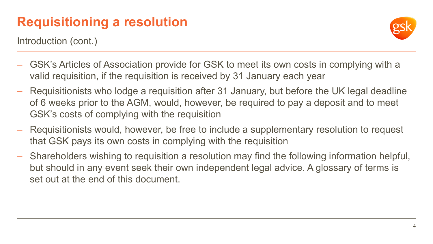Introduction (cont.)

- GSK's Articles of Association provide for GSK to meet its own costs in complying with a valid requisition, if the requisition is received by 31 January each year
- Requisitionists who lodge a requisition after 31 January, but before the UK legal deadline of 6 weeks prior to the AGM, would, however, be required to pay a deposit and to meet GSK's costs of complying with the requisition
- Requisitionists would, however, be free to include a supplementary resolution to request that GSK pays its own costs in complying with the requisition
- Shareholders wishing to requisition a resolution may find the following information helpful, but should in any event seek their own independent legal advice. A glossary of terms is set out at the end of this document.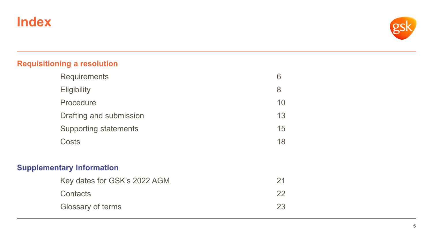#### **Index**



#### **Requisitioning a resolution**

| <b>Requirements</b>              | 6  |
|----------------------------------|----|
| <b>Eligibility</b>               | 8  |
| Procedure                        | 10 |
| Drafting and submission          | 13 |
| <b>Supporting statements</b>     | 15 |
| Costs                            | 18 |
| <b>Supplementary Information</b> |    |
| Key dates for GSK's 2022 AGM     | 21 |
| Contacts                         | 22 |
| Glossary of terms                | 23 |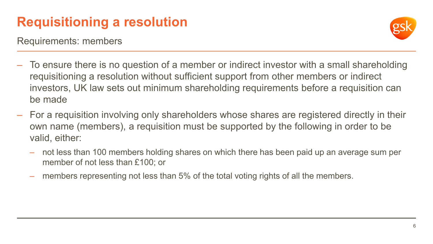Requirements: members



- To ensure there is no question of a member or indirect investor with a small shareholding requisitioning a resolution without sufficient support from other members or indirect investors, UK law sets out minimum shareholding requirements before a requisition can be made
- For a requisition involving only shareholders whose shares are registered directly in their own name (members), a requisition must be supported by the following in order to be valid, either:
	- not less than 100 members holding shares on which there has been paid up an average sum per member of not less than £100; or
	- members representing not less than 5% of the total voting rights of all the members.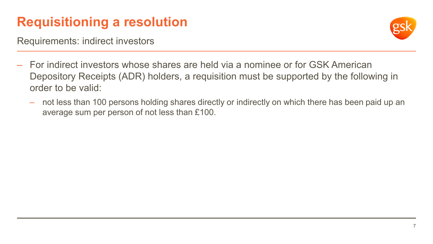Requirements: indirect investors



- For indirect investors whose shares are held via a nominee or for GSK American Depository Receipts (ADR) holders, a requisition must be supported by the following in order to be valid:
	- not less than 100 persons holding shares directly or indirectly on which there has been paid up an average sum per person of not less than £100.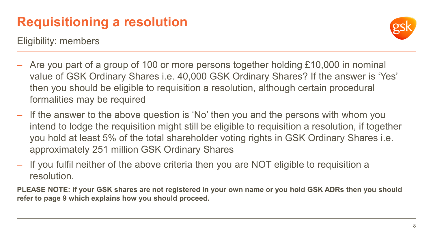Eligibility: members

- Are you part of a group of 100 or more persons together holding £10,000 in nominal value of GSK Ordinary Shares i.e. 40,000 GSK Ordinary Shares? If the answer is 'Yes' then you should be eligible to requisition a resolution, although certain procedural formalities may be required
- If the answer to the above question is 'No' then you and the persons with whom you intend to lodge the requisition might still be eligible to requisition a resolution, if together you hold at least 5% of the total shareholder voting rights in GSK Ordinary Shares i.e. approximately 251 million GSK Ordinary Shares
- If you fulfil neither of the above criteria then you are NOT eligible to requisition a resolution.

**PLEASE NOTE: if your GSK shares are not registered in your own name or you hold GSK ADRs then you should refer to page 9 which explains how you should proceed.**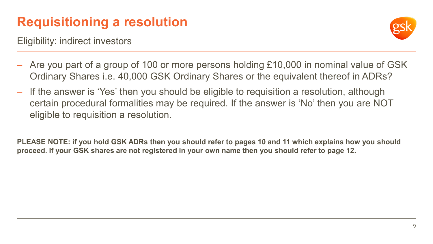Eligibility: indirect investors



- Are you part of a group of 100 or more persons holding £10,000 in nominal value of GSK Ordinary Shares i.e. 40,000 GSK Ordinary Shares or the equivalent thereof in ADRs?
- If the answer is 'Yes' then you should be eligible to requisition a resolution, although certain procedural formalities may be required. If the answer is 'No' then you are NOT eligible to requisition a resolution.

**PLEASE NOTE: if you hold GSK ADRs then you should refer to pages 10 and 11 which explains how you should proceed. If your GSK shares are not registered in your own name then you should refer to page 12.**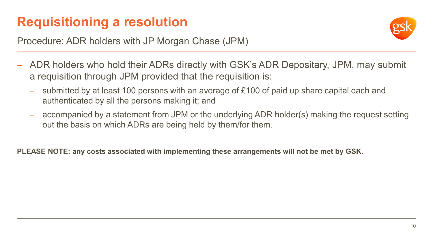

Procedure: ADR holders with JP Morgan Chase (JPM)

- ADR holders who hold their ADRs directly with GSK's ADR Depositary, JPM, may submit a requisition through JPM provided that the requisition is:
	- submitted by at least 100 persons with an average of £100 of paid up share capital each and authenticated by all the persons making it; and
	- accompanied by a statement from JPM or the underlying ADR holder(s) making the request setting out the basis on which ADRs are being held by them/for them.

**PLEASE NOTE: any costs associated with implementing these arrangements will not be met by GSK.**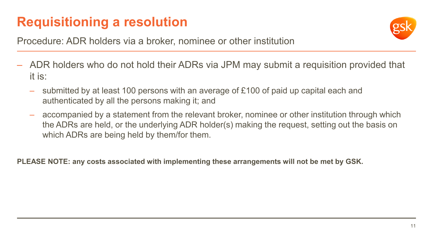

Procedure: ADR holders via a broker, nominee or other institution

- ADR holders who do not hold their ADRs via JPM may submit a requisition provided that it is:
	- submitted by at least 100 persons with an average of £100 of paid up capital each and authenticated by all the persons making it; and
	- accompanied by a statement from the relevant broker, nominee or other institution through which the ADRs are held, or the underlying ADR holder(s) making the request, setting out the basis on which ADRs are being held by them/for them.

**PLEASE NOTE: any costs associated with implementing these arrangements will not be met by GSK.**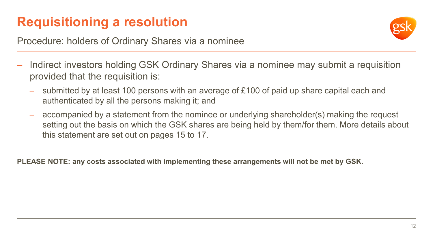

Procedure: holders of Ordinary Shares via a nominee

- Indirect investors holding GSK Ordinary Shares via a nominee may submit a requisition provided that the requisition is:
	- submitted by at least 100 persons with an average of £100 of paid up share capital each and authenticated by all the persons making it; and
	- accompanied by a statement from the nominee or underlying shareholder(s) making the request setting out the basis on which the GSK shares are being held by them/for them. More details about this statement are set out on pages 15 to 17.

**PLEASE NOTE: any costs associated with implementing these arrangements will not be met by GSK.**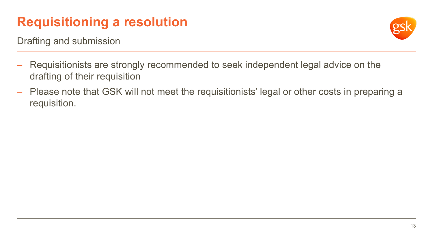Drafting and submission

- Requisitionists are strongly recommended to seek independent legal advice on the drafting of their requisition
- Please note that GSK will not meet the requisitionists' legal or other costs in preparing a requisition.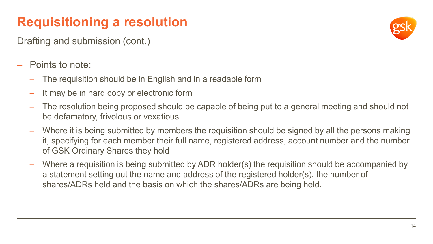Drafting and submission (cont.)

- Points to note:
	- The requisition should be in English and in a readable form
	- It may be in hard copy or electronic form
	- The resolution being proposed should be capable of being put to a general meeting and should not be defamatory, frivolous or vexatious
	- Where it is being submitted by members the requisition should be signed by all the persons making it, specifying for each member their full name, registered address, account number and the number of GSK Ordinary Shares they hold
	- Where a requisition is being submitted by ADR holder(s) the requisition should be accompanied by a statement setting out the name and address of the registered holder(s), the number of shares/ADRs held and the basis on which the shares/ADRs are being held.

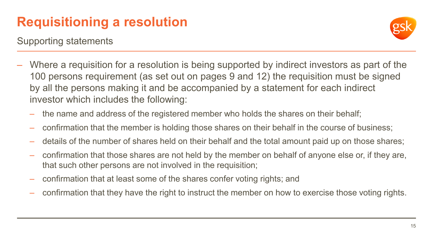Supporting statements

- Where a requisition for a resolution is being supported by indirect investors as part of the 100 persons requirement (as set out on pages 9 and 12) the requisition must be signed by all the persons making it and be accompanied by a statement for each indirect investor which includes the following:
	- the name and address of the registered member who holds the shares on their behalf;
	- confirmation that the member is holding those shares on their behalf in the course of business;
	- details of the number of shares held on their behalf and the total amount paid up on those shares;
	- confirmation that those shares are not held by the member on behalf of anyone else or, if they are, that such other persons are not involved in the requisition;
	- confirmation that at least some of the shares confer voting rights; and
	- confirmation that they have the right to instruct the member on how to exercise those voting rights.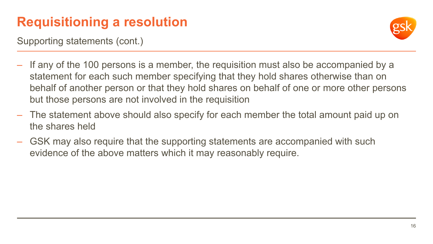Supporting statements (cont.)

- If any of the 100 persons is a member, the requisition must also be accompanied by a statement for each such member specifying that they hold shares otherwise than on behalf of another person or that they hold shares on behalf of one or more other persons but those persons are not involved in the requisition
- The statement above should also specify for each member the total amount paid up on the shares held
- GSK may also require that the supporting statements are accompanied with such evidence of the above matters which it may reasonably require.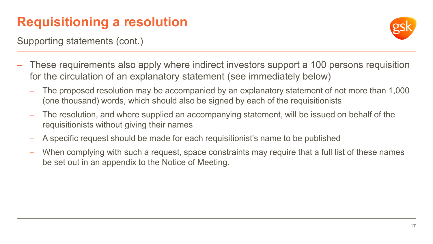Supporting statements (cont.)

- These requirements also apply where indirect investors support a 100 persons requisition for the circulation of an explanatory statement (see immediately below)
	- The proposed resolution may be accompanied by an explanatory statement of not more than 1,000 (one thousand) words, which should also be signed by each of the requisitionists
	- The resolution, and where supplied an accompanying statement, will be issued on behalf of the requisitionists without giving their names
	- A specific request should be made for each requisitionist's name to be published
	- When complying with such a request, space constraints may require that a full list of these names be set out in an appendix to the Notice of Meeting.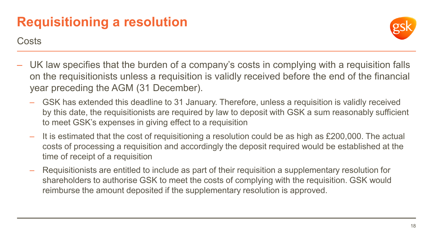

**Costs** 

- UK law specifies that the burden of a company's costs in complying with a requisition falls on the requisitionists unless a requisition is validly received before the end of the financial year preceding the AGM (31 December).
	- GSK has extended this deadline to 31 January. Therefore, unless a requisition is validly received by this date, the requisitionists are required by law to deposit with GSK a sum reasonably sufficient to meet GSK's expenses in giving effect to a requisition
	- It is estimated that the cost of requisitioning a resolution could be as high as £200,000. The actual costs of processing a requisition and accordingly the deposit required would be established at the time of receipt of a requisition
	- Requisitionists are entitled to include as part of their requisition a supplementary resolution for shareholders to authorise GSK to meet the costs of complying with the requisition. GSK would reimburse the amount deposited if the supplementary resolution is approved.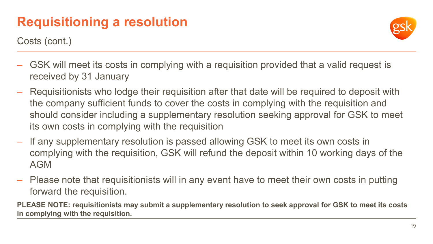Costs (cont.)

- GSK will meet its costs in complying with a requisition provided that a valid request is received by 31 January
- Requisitionists who lodge their requisition after that date will be required to deposit with the company sufficient funds to cover the costs in complying with the requisition and should consider including a supplementary resolution seeking approval for GSK to meet its own costs in complying with the requisition
- If any supplementary resolution is passed allowing GSK to meet its own costs in complying with the requisition, GSK will refund the deposit within 10 working days of the AGM
- Please note that requisitionists will in any event have to meet their own costs in putting forward the requisition.

**PLEASE NOTE: requisitionists may submit a supplementary resolution to seek approval for GSK to meet its costs in complying with the requisition.**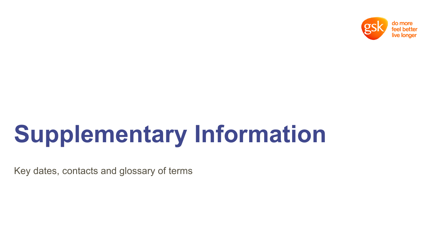

Key dates, contacts and glossary of terms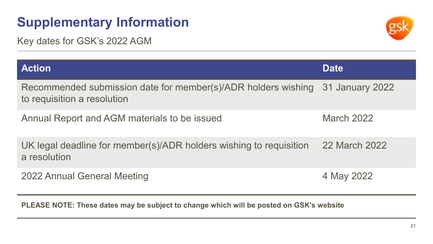Key dates for GSK's 2022 AGM



| <b>Action</b>                                                                                                | <b>Date</b>       |
|--------------------------------------------------------------------------------------------------------------|-------------------|
| Recommended submission date for member(s)/ADR holders wishing 31 January 2022<br>to requisition a resolution |                   |
| Annual Report and AGM materials to be issued                                                                 | <b>March 2022</b> |
| UK legal deadline for member(s)/ADR holders wishing to requisition<br>a resolution                           | 22 March 2022     |
| 2022 Annual General Meeting                                                                                  | 4 May 2022        |

**PLEASE NOTE: These dates may be subject to change which will be posted on GSK's website**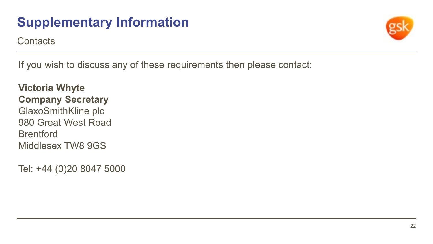**Contacts** 



If you wish to discuss any of these requirements then please contact:

**Victoria Whyte Company Secretary** GlaxoSmithKline plc 980 Great West Road **Brentford** Middlesex TW8 9GS

Tel: +44 (0)20 8047 5000